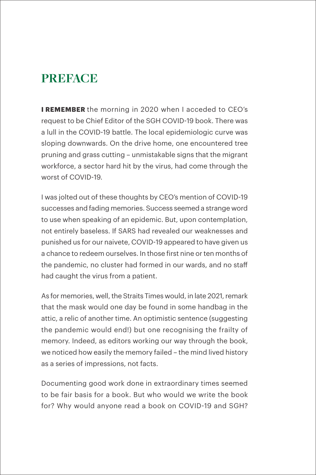## **PREFACE**

**I REMEMBER** the morning in 2020 when I acceded to CEO's request to be Chief Editor of the SGH COVID-19 book. There was a lull in the COVID-19 battle. The local epidemiologic curve was sloping downwards. On the drive home, one encountered tree pruning and grass cutting – unmistakable signs that the migrant workforce, a sector hard hit by the virus, had come through the worst of COVID-19.

I was jolted out of these thoughts by CEO's mention of COVID-19 successes and fading memories. Success seemed a strange word to use when speaking of an epidemic. But, upon contemplation, not entirely baseless. If SARS had revealed our weaknesses and punished us for our naivete, COVID-19 appeared to have given us a chance to redeem ourselves. In those first nine or ten months of the pandemic, no cluster had formed in our wards, and no staff had caught the virus from a patient.

As for memories, well, the Straits Times would, in late 2021, remark that the mask would one day be found in some handbag in the attic, a relic of another time. An optimistic sentence (suggesting the pandemic would end!) but one recognising the frailty of memory. Indeed, as editors working our way through the book, we noticed how easily the memory failed – the mind lived history as a series of impressions, not facts.

Documenting good work done in extraordinary times seemed to be fair basis for a book. But who would we write the book for? Why would anyone read a book on COVID-19 and SGH?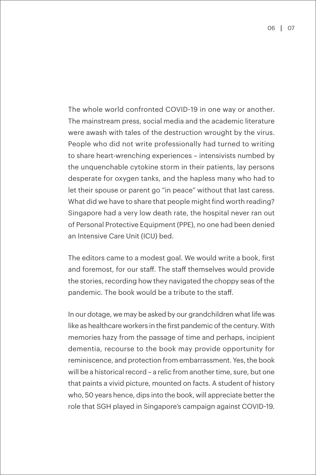The whole world confronted COVID-19 in one way or another. The mainstream press, social media and the academic literature were awash with tales of the destruction wrought by the virus. People who did not write professionally had turned to writing to share heart-wrenching experiences – intensivists numbed by the unquenchable cytokine storm in their patients, lay persons desperate for oxygen tanks, and the hapless many who had to let their spouse or parent go "in peace" without that last caress. What did we have to share that people might find worth reading? Singapore had a very low death rate, the hospital never ran out of Personal Protective Equipment (PPE), no one had been denied an Intensive Care Unit (ICU) bed.

The editors came to a modest goal. We would write a book, first and foremost, for our staff. The staff themselves would provide the stories, recording how they navigated the choppy seas of the pandemic. The book would be a tribute to the staff.

In our dotage, we may be asked by our grandchildren what life was like as healthcare workers in the first pandemic of the century. With memories hazy from the passage of time and perhaps, incipient dementia, recourse to the book may provide opportunity for reminiscence, and protection from embarrassment. Yes, the book will be a historical record – a relic from another time, sure, but one that paints a vivid picture, mounted on facts. A student of history who, 50 years hence, dips into the book, will appreciate better the role that SGH played in Singapore's campaign against COVID-19.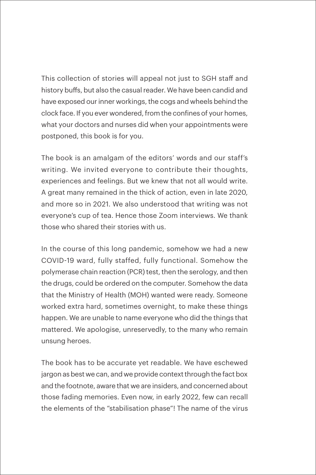This collection of stories will appeal not just to SGH staff and history buffs, but also the casual reader. We have been candid and have exposed our inner workings, the cogs and wheels behind the clock face. If you ever wondered, from the confines of your homes, what your doctors and nurses did when your appointments were postponed, this book is for you.

The book is an amalgam of the editors' words and our staff's writing. We invited everyone to contribute their thoughts, experiences and feelings. But we knew that not all would write. A great many remained in the thick of action, even in late 2020, and more so in 2021. We also understood that writing was not everyone's cup of tea. Hence those Zoom interviews. We thank those who shared their stories with us.

In the course of this long pandemic, somehow we had a new COVID-19 ward, fully staffed, fully functional. Somehow the polymerase chain reaction (PCR) test, then the serology, and then the drugs, could be ordered on the computer. Somehow the data that the Ministry of Health (MOH) wanted were ready. Someone worked extra hard, sometimes overnight, to make these things happen. We are unable to name everyone who did the things that mattered. We apologise, unreservedly, to the many who remain unsung heroes.

The book has to be accurate yet readable. We have eschewed jargon as best we can, and we provide context through the fact box and the footnote, aware that we are insiders, and concerned about those fading memories. Even now, in early 2022, few can recall the elements of the "stabilisation phase"! The name of the virus